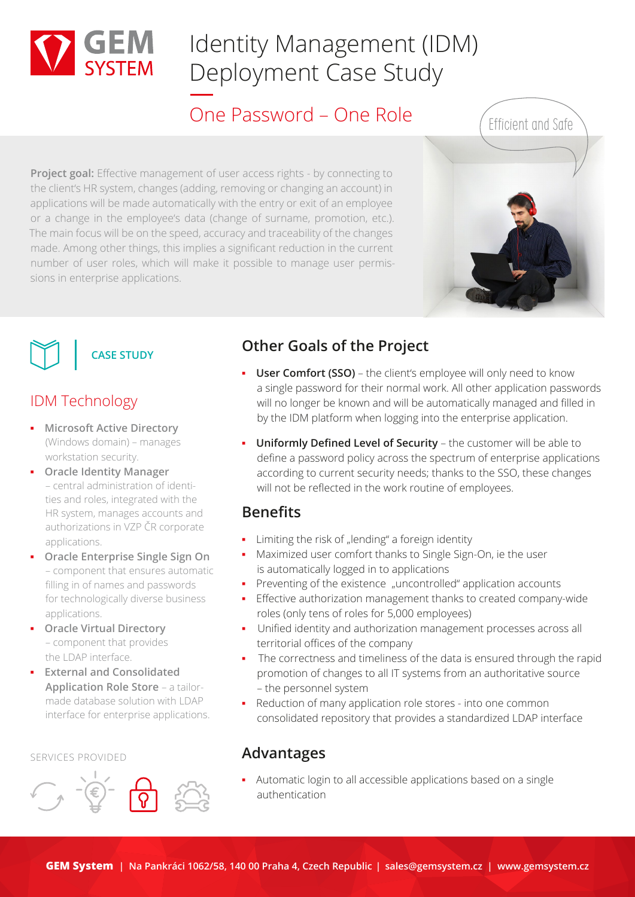

## Identity Management (IDM) Deployment Case Study

## One Password – One Role

**Project goal:** Effective management of user access rights - by connecting to the client's HR system, changes (adding, removing or changing an account) in applications will be made automatically with the entry or exit of an employee or a change in the employee's data (change of surname, promotion, etc.). The main focus will be on the speed, accuracy and traceability of the changes made. Among other things, this implies a significant reduction in the current number of user roles, which will make it possible to manage user permissions in enterprise applications.





## IDM Technology

- **Microsoft Active Directory** (Windows domain) – manages workstation security.
- **Oracle Identity Manager** – central administration of identities and roles, integrated with the HR system, manages accounts and authorizations in VZP ČR corporate applications.
- **Oracle Enterprise Single Sign On** – component that ensures automatic filling in of names and passwords for technologically diverse business applications.
- **Oracle Virtual Directory** – component that provides the LDAP interface.
- **External and Consolidated Application Role Store** – a tailormade database solution with LDAP interface for enterprise applications.

#### SERVICES PROVIDED



## **Other Goals of the Project**

- **User Comfort (SSO)** the client's employee will only need to know a single password for their normal work. All other application passwords will no longer be known and will be automatically managed and filled in by the IDM platform when logging into the enterprise application.
- **▪ Uniformly Defined Level of Security** the customer will be able to define a password policy across the spectrum of enterprise applications according to current security needs; thanks to the SSO, these changes will not be reflected in the work routine of employees.

### **Benefits**

- **■** Limiting the risk of "lending" a foreign identity
- **▪** Maximized user comfort thanks to Single Sign-On, ie the user is automatically logged in to applications
- **■** Preventing of the existence "uncontrolled" application accounts
- **■** Effective authorization management thanks to created company-wide roles (only tens of roles for 5,000 employees)
- **▪** Unified identity and authorization management processes across all territorial offices of the company
- **▪**  The correctness and timeliness of the data is ensured through the rapid promotion of changes to all IT systems from an authoritative source – the personnel system
- **▪** Reduction of many application role stores into one common consolidated repository that provides a standardized LDAP interface

## **Advantages**

**▪** Automatic login to all accessible applications based on a single authentication